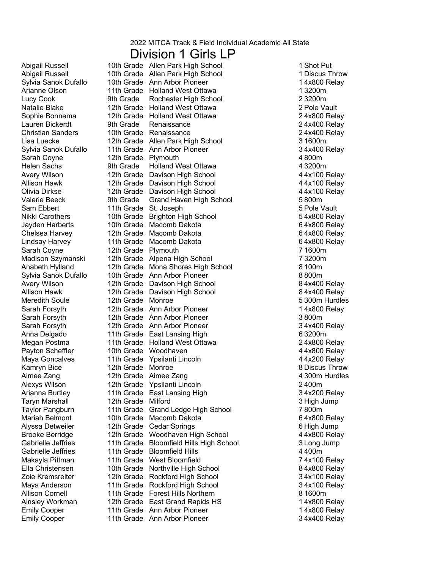#### Division 1 Girls LP

Sylvia Sanok Dufallo Arianne Olson Sophie Bonnema Lisa Luecke Sylvia Sanok Dufallo Valerie Beeck Sam Ebbert Jayden Harberts Anabeth Hylland Sylvia Sanok Dufallo Meredith Soule Megan Postma Maya Goncalves Alexys Wilson Arianna Burtley Taylor Pangburn Zoie Kremsreiter

Abigail Russell **10th Grade Allen Park High School** 1 Shot Put Abigail Russell **10th Grade Allen Park High School** 1 Discus Throw 10th Grade Ann Arbor Pioneer 14x800 Relay 11th Grade Holland West Ottawa 1 3200m Lucy Cook 9th Grade Rochester High School 23200m<br>
Natalie Blake 12th Grade Holland West Ottawa 2 Pole Vault 12th Grade Holland West Ottawa 12th Grade Holland West Ottawa 2 4x800 Relay Lauren Bickerdt 9th Grade Renaissance 2 4x400 Relay Christian Sanders 10th Grade Renaissance 2 4x400 Relay 12th Grade Allen Park High School 3 1600m 11th Grade Ann Arbor Pioneer 34x400 Relay Sarah Coyne 12th Grade Plymouth 12th Grade 1 4 800m<br>
Helen Sachs 9th Grade Holland West Ottawa 1 4 3200m 9th Grade Holland West Ottawa Avery Wilson 12th Grade Davison High School<br>Allison Hawk 12th Grade Davison High School 44x100 Relay 12th Grade Davison High School 44x100 Relay Olivia Dirkse 12th Grade Davison High School 4 4x100 Relay 9th Grade Grand Haven High School 5800m 11th Grade St. Joseph 5 Pole Vault Nikki Carothers 10th Grade Brighton High School 54x800 Relay 10th Grade Macomb Dakota 6 4x800 Relay Chelsea Harvey 12th Grade Macomb Dakota 6 4x800 Relay 11th Grade Macomb Dakota 6 4x800 Relay Sarah Coyne 12th Grade Plymouth 7 1600m 12th Grade 7 3200m Madison Szymanski Alpena High School 12th Grade Mona Shores High School 8 100m 10th Grade Ann Arbor Pioneer 8 800m Avery Wilson **12th Grade** Davison High School **84x400 Relay** Allison Hawk 12th Grade Davison High School 6 4x400 Relay<br>Meredith Soule 12th Grade Monroe 1980 1980 1981 5 300m Hurdles 12th Grade Monroe Sarah Forsyth 12th Grade Ann Arbor Pioneer 1 4x800 Relay Sarah Forsyth 12th Grade Ann Arbor Pioneer 3 800m 12th Grade Ann Arbor Pioneer 3 4x400 Relay Anna Delgado **11th Grade East Lansing High 6 3200m** 11th Grade Holland West Ottawa 2 4x800 Relay 10th Grade 4 4x800 Relay Payton Scheffler Woodhaven 11th Grade Ypsilanti Lincoln **11th Grade Ypsilanti Lincoln** 44x200 Relay Kamryn Bice **12th Grade Monroe 12th Access** Monroe **8 Discus Throw** 12th Grade 4 300m Hurdles Aimee Zang Aimee Zang 12th Grade Ypsilanti Lincoln 2400m 11th Grade East Lansing High 34x200 Relay Taryn Marshall 12th Grade Milford 3 High Jump 11th Grade Grand Ledge High School 7800m Mariah Belmont 10th Grade Macomb Dakota 19th 64x800 Relay Alyssa Detweiler 12th Grade Cedar Springs 6 High Jump 12th Grade 4 4x800 Relay Brooke Berridge Woodhaven High School Gabrielle Jeffries 11th Grade Bloomfield Hills High School 3 Long Jump Gabrielle Jeffries 11th Grade Bloomfield Hills 4400m Makayla Pittman 11th Grade West Bloomfield 7 4x100 Relay Ella Christensen 10th Grade 8 4x800 Relay Northville High School 12th Grade Rockford High School 34x100 Relay Maya Anderson 11th Grade Rockford High School 3 4x100 Relay Allison Cornell 11th Grade Forest Hills Northern 8 1600m<br>Ainsley Workman 12th Grade East Grand Rapids HS 14x800 Relay 12th Grade East Grand Rapids HS Emily Cooper 11th Grade Ann Arbor Pioneer<br>
Emily Cooper 11th Grade Ann Arbor Pioneer 1 1 4x800 Relay 11th Grade Ann Arbor Pioneer 3 4x400 Relay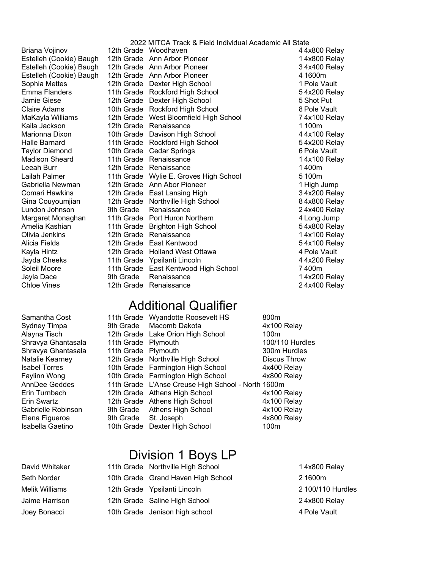Estelleh (Cookie) Baugh Estelleh (Cookie) Baugh Estelleh (Cookie) Baugh Sophia Mettes Jamie Giese Marionna Dixon Taylor Diemond Madison Sheard Leeah Burr Lailah Palmer Comari Hawkins Lundon Johnson Amelia Kashian Kayla Hintz

2022 MITCA Track & Field Individual Academic All State Briana Vojinov 12th Grade Woodhaven 4 4x800 Relay 12th Grade Ann Arbor Pioneer 14x800 Relay 12th Grade Ann Arbor Pioneer 34x400 Relay 12th Grade Ann Arbor Pioneer 4 1600m 12th Grade Dexter High School 12th Grade Vault Emma Flanders 11th Grade Rockford High School 5 4x200 Relay 12th Grade Dexter High School 5 Shot Put Claire Adams 10th Grade Rockford High School 8 Pole Vault MaKayla Williams 12th Grade West Bloomfield High School 74x100 Relay<br>Kaila Jackson 12th Grade Renaissance 1100m 12th Grade Renaissance 12th Grade 1 100m 10th Grade Davison High School 44x100 Relay Halle Barnard **11th Grade Rockford High School** 54x200 Relay 10th Grade Cedar Springs 6 Pole Vault 11th Grade Renaissance 1 1 4x100 Relay 12th Grade Renaissance 12th Grade 1400m 11th Grade Wylie E. Groves High School 5 100m Gabriella Newman and 12th Grade Ann Abor Pioneer and the total that the 1 High Jump 12th Grade East Lansing High 34x200 Relay Gina Couyoumjian and 12th Grade Northville High School and American AS 4x800 Relay 9th Grade Renaissance 24x400 Relay Margaret Monaghan 11th Grade Port Huron Northern 4 Long Jump 11th Grade Brighton High School 54x800 Relay Olivia Jenkins 12th Grade Renaissance 1 4x100 Relay Alicia Fields 12th Grade East Kentwood 12th Grade Holland West Ottawa 4 Pole Vault Jayda Cheeks 11th Grade Ypsilanti Lincoln 4 4x200 Relay Soleil Moore **11th Grade East Kentwood High School** 7400m Jayla Dace 9th Grade Renaissance 1 4x200 Relay

12th Grade Renaissance 24x400 Relay

## Additional Qualifier

| Samantha Cost        |                     | 11th Grade Vyvandotte Roosevelt HS                 | 800m            |
|----------------------|---------------------|----------------------------------------------------|-----------------|
| Sydney Timpa         | 9th Grade           | Macomb Dakota                                      | 4x100 Relay     |
| Alayna Tisch         |                     | 12th Grade Lake Orion High School                  | 100m            |
| Shravya Ghantasala   | 11th Grade Plymouth |                                                    | 100/110 Hurdles |
| Shravya Ghantasala   | 11th Grade Plymouth |                                                    | 300m Hurdles    |
| Natalie Kearney      |                     | 12th Grade Northville High School                  | Discus Throw    |
| <b>Isabel Torres</b> |                     | 10th Grade Farmington High School                  | 4x400 Relay     |
| Faylinn Wong         |                     | 10th Grade Farmington High School                  | 4x800 Relay     |
| AnnDee Geddes        |                     | 11th Grade L'Anse Creuse High School - North 1600m |                 |
| Erin Turnbach        |                     | 12th Grade Athens High School                      | 4x100 Relay     |
| Erin Swartz          |                     | 12th Grade Athens High School                      | 4x100 Relay     |
| Gabrielle Robinson   |                     | 9th Grade Athens High School                       | 4x100 Relay     |
| Elena Figueroa       | 9th Grade           | St. Joseph                                         | 4x800 Relay     |
| Isabella Gaetino     | 10th Grade          | Dexter High School                                 | 100m            |
|                      |                     |                                                    |                 |

# Division 1 Boys LP

- David Whitaker 11th Grade Northville High School 1 4x800 Relay 10th Grade Grand Haven High School 2 1600m 12th Grade Ypsilanti Lincoln 2 100/110 Hurdles Jaime Harrison 12th Grade Saline High School 2 4x800 Relay 10th Grade Jenison high school 4 Pole Vault Seth Norder Melik Williams Joey Bonacci
-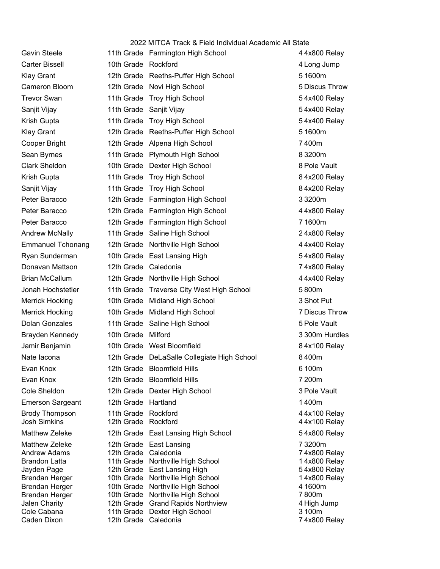|                                      |                          | 2022 MITCA Track & Field Individual Academic All State |                              |
|--------------------------------------|--------------------------|--------------------------------------------------------|------------------------------|
| <b>Gavin Steele</b>                  |                          | 11th Grade Farmington High School                      | 44x800 Relay                 |
| <b>Carter Bissell</b>                | 10th Grade Rockford      |                                                        | 4 Long Jump                  |
| <b>Klay Grant</b>                    |                          | 12th Grade Reeths-Puffer High School                   | 51600m                       |
| Cameron Bloom                        |                          | 12th Grade Novi High School                            | 5 Discus Throw               |
| <b>Trevor Swan</b>                   |                          | 11th Grade Troy High School                            | 54x400 Relay                 |
| Sanjit Vijay                         |                          | 11th Grade Sanjit Vijay                                | 54x400 Relay                 |
| Krish Gupta                          |                          | 11th Grade Troy High School                            | 54x400 Relay                 |
| <b>Klay Grant</b>                    |                          | 12th Grade Reeths-Puffer High School                   | 51600m                       |
| Cooper Bright                        |                          | 12th Grade Alpena High School                          | 7400m                        |
| Sean Byrnes                          |                          | 11th Grade Plymouth High School                        | 83200m                       |
| Clark Sheldon                        |                          | 10th Grade Dexter High School                          | 8 Pole Vault                 |
| Krish Gupta                          |                          | 11th Grade Troy High School                            | 84x200 Relay                 |
| Sanjit Vijay                         |                          | 11th Grade Troy High School                            | 84x200 Relay                 |
| Peter Baracco                        |                          | 12th Grade Farmington High School                      | 3 3 200 m                    |
| Peter Baracco                        |                          | 12th Grade Farmington High School                      | 4 4x800 Relay                |
| Peter Baracco                        |                          | 12th Grade Farmington High School                      | 71600m                       |
| Andrew McNally                       |                          | 11th Grade Saline High School                          | 24x800 Relay                 |
| <b>Emmanuel Tchonang</b>             |                          | 12th Grade Northville High School                      | 44x400 Relay                 |
| Ryan Sunderman                       |                          | 10th Grade East Lansing High                           | 54x800 Relay                 |
| Donavan Mattson                      | 12th Grade Caledonia     |                                                        | 74x800 Relay                 |
| <b>Brian McCallum</b>                |                          | 12th Grade Northville High School                      | 44x400 Relay                 |
| Jonah Hochstetler                    |                          | 11th Grade Traverse City West High School              | 5800m                        |
| <b>Merrick Hocking</b>               |                          | 10th Grade Midland High School                         | 3 Shot Put                   |
| Merrick Hocking                      |                          | 10th Grade Midland High School                         | 7 Discus Throw               |
| Dolan Gonzales                       |                          | 11th Grade Saline High School                          | 5 Pole Vault                 |
| Brayden Kennedy                      | 10th Grade Milford       |                                                        | 3 300m Hurdles               |
| Jamir Benjamin                       |                          | 10th Grade West Bloomfield                             | 84x100 Relay                 |
| Nate lacona                          |                          | 12th Grade DeLaSalle Collegiate High School            | 8400m                        |
| Evan Knox                            |                          | 12th Grade Bloomfield Hills                            | 6 100m                       |
| Evan Knox                            |                          | 12th Grade Bloomfield Hills                            | 7 200m                       |
| Cole Sheldon                         |                          | 12th Grade Dexter High School                          | 3 Pole Vault                 |
| <b>Emerson Sargeant</b>              | 12th Grade Hartland      |                                                        | 1400m                        |
| <b>Brody Thompson</b>                | 11th Grade               | Rockford                                               | 44x100 Relay                 |
| <b>Josh Simkins</b>                  | 12th Grade Rockford      |                                                        | 44x100 Relay                 |
| <b>Matthew Zeleke</b>                |                          | 12th Grade East Lansing High School                    | 54x800 Relay                 |
| <b>Matthew Zeleke</b>                | 12th Grade               | East Lansing                                           | 73200m                       |
| <b>Andrew Adams</b><br>Brandon Latta | 12th Grade<br>11th Grade | Caledonia<br>Northville High School                    | 74x800 Relay<br>14x800 Relay |
| Jayden Page                          |                          | 12th Grade East Lansing High                           | 54x800 Relay                 |
| Brendan Herger                       |                          | 10th Grade Northville High School                      | 14x800 Relay                 |
| <b>Brendan Herger</b>                |                          | 10th Grade Northville High School                      | 4 1600m                      |
| Brendan Herger                       |                          | 10th Grade Northville High School                      | 7800m                        |
| <b>Jalen Charity</b>                 |                          | 12th Grade Grand Rapids Northview                      | 4 High Jump                  |
| Cole Cabana<br>Caden Dixon           | 12th Grade Caledonia     | 11th Grade Dexter High School                          | 3 100m<br>74x800 Relay       |
|                                      |                          |                                                        |                              |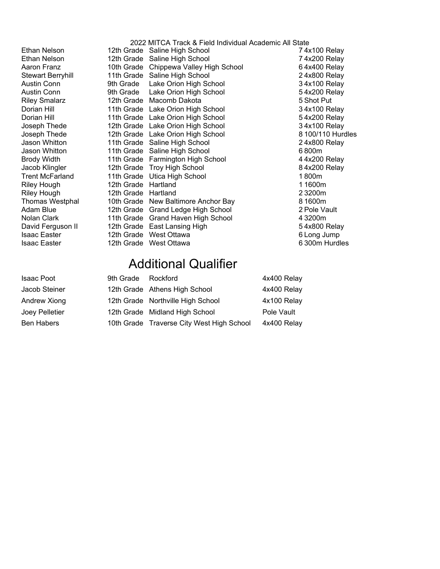Stewart Berryhill Riley Smalarz Joseph Thede Joseph Thede Jason Whitton Jason Whitton Jacob Klingler Thomas Westphal

2022 MITCA Track & Field Individual Academic All State Ethan Nelson 12th Grade Saline High School 74x100 Relay Ethan Nelson 12th Grade Saline High School 74x200 Relay Aaron Franz 10th Grade Chippewa Valley High School 64x400 Relay 11th Grade Saline High School 24x800 Relay Austin Conn 9th Grade Lake Orion High School 34x100 Relay Austin Conn 9th Grade Lake Orion High School 54x200 Relay 12th Grade Macomb Dakota 5 Shot Put Dorian Hill 11th Grade Lake Orion High School 3 4x100 Relay Dorian Hill 11th Grade Lake Orion High School 54x200 Relay 12th Grade Lake Orion High School 34x100 Relay 12th Grade Lake Orion High School 8 100/110 Hurdles 11th Grade Saline High School 24x800 Relay 11th Grade Saline High School 6 800m Brody Width 11th Grade Farmington High School 44x200 Relay 12th Grade Troy High School 84x200 Relay Trent McFarland 11th Grade Utica High School 1 800m Riley Hough 12th Grade 1 1600m Hartland Riley Hough 12th Grade 2 3200m Hartland 10th Grade New Baltimore Anchor Bay 8 1600m Adam Blue 12th Grade Grand Ledge High School 2 Pole Vault Nolan Clark 11th Grade Grand Haven High School 4 3200m David Ferguson II 12th Grade East Lansing High 19th 19th 5 4x800 Relay Isaac Easter **12th Grade West Ottawa 12th Grade West Ottawa** 6 Long Jump Isaac Easter 12th Grade West Ottawa 6 300m Hurdles

## Additional Qualifier

| Isaac Poot            | 9th Grade Rockford |                                           | 4x400 Relay |
|-----------------------|--------------------|-------------------------------------------|-------------|
| Jacob Steiner         |                    | 12th Grade Athens High School             | 4x400 Relay |
| Andrew Xiong          |                    | 12th Grade Northville High School         | 4x100 Relay |
| <b>Joey Pelletier</b> |                    | 12th Grade Midland High School            | Pole Vault  |
| <b>Ben Habers</b>     |                    | 10th Grade Traverse City West High School | 4x400 Relay |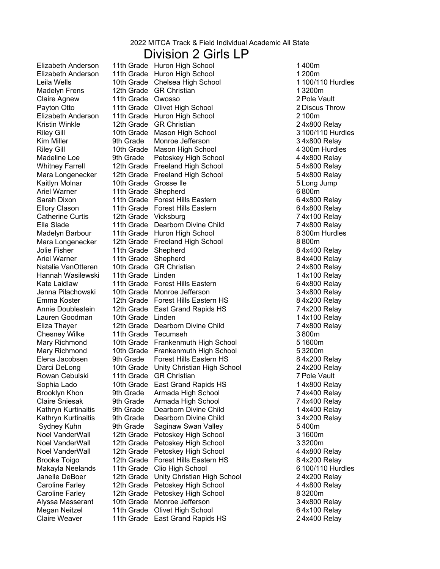### Division 2 Girls LP

Madelyn Frens Mara Longenecker Ellory Clason Ella Slade Mara Longenecker Natalie VanOtteren Hannah Wasilewski Kate Laidlaw Jenna Pilachowski Annie Doublestein Chesney Wilke Rowan Cebulski Sophia Lado Claire Sniesak Kathryn Kurtinaitis Kathryn Kurtinaitis Noel VanderWall Noel VanderWall Noel VanderWall Brooke Toigo Makayla Neelands Alyssa Masserant

Elizabeth Anderson 11th Grade Huron High School 1 400m Elizabeth Anderson 11th Grade Huron High School 1 200m Leila Wells 10th Grade Chelsea High School 12th Grade GR Christian 12th Grade 6. Claire Agnew 11th Grade 2 Pole Vault Owosso Payton Otto **11th Grade** Olivet High School **2 Discus Throw** Elizabeth Anderson 11th Grade Huron High School 2 100m Kristin Winkle **12th Grade GR Christian** 24x800 Relay Riley Gill 10th Grade Mason High School 3 100/110 Hurdles Kim Miller **9th Grade** Monroe Jefferson **Markou Accord 34x800 Relay** Riley Gill 10th Grade Mason High School 4 300m Hurdles Madeline Loe 9th Grade Petoskey High School 44x800 Relay Whitney Farrell 12th Grade Freeland High School 54x800 Relay 12th Grade Freeland High School 54x800 Relay Kaitlyn Molnar 10th Grade 5 Long Jump Grosse Ile Ariel Warner 11th Grade Shepherd 6 800m Sarah Dixon 11th Grade Forest Hills Eastern 64x800 Relay 11th Grade Forest Hills Eastern 6 4x800 Relay Catherine Curtis 12th Grade Vicksburg 74x100 Relay 11th Grade Dearborn Divine Child 74x800 Relay Madelyn Barbour 11th Grade Huron High School 8 300m Hurdles 12th Grade Freeland High School 8800m Jolie Fisher 11th Grade Shepherd 8 4x400 Relay Ariel Warner **11th Grade** Shepherd **84x400 Relay** 10th Grade GR Christian 24x800 Relay 11th Grade Linden 11th Grade 1 4x100 Relay 11th Grade Forest Hills Eastern 64x800 Relay 10th Grade Monroe Jefferson 34x800 Relay Emma Koster **12th Grade Forest Hills Eastern HS** 84x200 Relay 12th Grade East Grand Rapids HS 74x200 Relay Lauren Goodman 10th Grade Linden 1 4x100 Relay Eliza Thayer 12th Grade Dearborn Divine Child 74x800 Relay 11th Grade Tecumseh 3800m Mary Richmond 10th Grade Frankenmuth High School 5 1600m Mary Richmond 10th Grade Frankenmuth High School 5 3200m Elena Jacobsen 9th Grade Forest Hills Eastern HS 64x200 Relay Darci DeLong 10th Grade Unity Christian High School 24x200 Relay 11th Grade GR Christian **7** Pole Vault 10th Grade East Grand Rapids HS 14x800 Relay Brooklyn Khon 9th Grade Armada High School 74x400 Relay 9th Grade Armada High School 74x400 Relay 9th Grade Dearborn Divine Child 1 4x400 Relay 9th Grade Dearborn Divine Child 34x200 Relay Sydney Kuhn 9th Grade Saginaw Swan Valley 5 400m 12th Grade Petoskey High School 12th Grade 8 1600m<br>12th Grade Petoskey High School 12th 3 3200m 12th Grade Petoskey High School 12th Grade Petoskey High School 44x800 Relay 12th Grade Forest Hills Eastern HS 84x200 Relay 11th Grade Clio High School 6 100/110 Hurdles Janelle DeBoer 12th Grade Unity Christian High School 2 4x200 Relay Caroline Farley 12th Grade Petoskey High School 44x800 Relay Caroline Farley 12th Grade Petoskey High School 8 3200m 10th Grade Monroe Jefferson 34x800 Relay Megan Neitzel 11th Grade Olivet High School 64x100 Relay Claire Weaver 11th Grade East Grand Rapids HS 2 4x400 Relay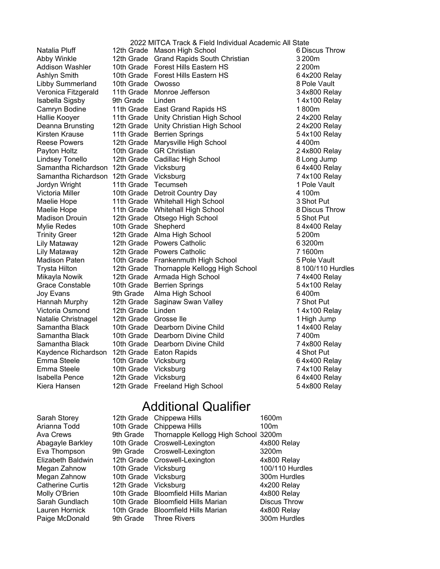Grace Constable 10th Grade Berrien Springs Natalia Pluff Addison Washler Libby Summerland Isabella Sigsby Camryn Bodine Hallie Kooyer Deanna Brunsting Payton Holtz Lindsey Tonello Maelie Hope Maelie Hope Mylie Redes Lily Mataway Lily Mataway Mikayla Nowik Natalie Christnagel

2022 MITCA Track & Field Individual Academic All State 12th Grade Mason High School 6 Discus Throw Abby Winkle 12th Grade Grand Rapids South Christian 3 200m 10th Grade Forest Hills Eastern HS 2 200m Ashlyn Smith 10th Grade Forest Hills Eastern HS 64x200 Relay 10th Grade Owosso **10th Grade** 8 Pole Vault Veronica Fitzgerald 11th Grade Monroe Jefferson **34x800 Relay** 9th Grade Linden 2008 Contract 1 4x100 Relay 11th Grade East Grand Rapids HS 1800m 11th Grade Unity Christian High School 2 4x200 Relay 12th Grade Unity Christian High School 2 4x200 Relay Kirsten Krause 11th Grade Berrien Springs 1997 1998 54x100 Relay Reese Powers 12th Grade Marysville High School 4400m 10th Grade GR Christian 24x800 Relay 12th Grade Cadillac High School 8 Long Jump Samantha Richardson 12th Grade Vicksburg 64x400 Relay Samantha Richardson 12th Grade Vicksburg 7 4x100 Relay Jordyn Wright 11th Grade Tecumseh 1 Pole Vault Victoria Miller 10th Grade Detroit Country Day 4 100m 11th Grade Whitehall High School 3 Shot Put 11th Grade Whitehall High School 8 Discus Throw Madison Drouin 12th Grade Otsego High School 5 Shot Put 10th Grade Shepherd 84x400 Relay Trinity Greer 12th Grade Alma High School 5 200m 12th Grade Powers Catholic **6 3200m** 12th Grade Powers Catholic **71600m** Madison Paten 10th Grade Frankenmuth High School 5 Pole Vault 12th Grade 8 100/110 Hurdles Trysta Hilton Thornapple Kellogg High School 12th Grade Armada High School 74x400 Relay<br>10th Grade Berrien Springs 754x100 Relay Joy Evans 9th Grade Alma High School 6 400m Hannah Murphy 12th Grade Saginaw Swan Valley 7 Shot Put Victoria Osmond 12th Grade Linden 1 1 4x100 Relay 12th Grade Grosse IIe **1** 1 High Jump Samantha Black 10th Grade Dearborn Divine Child 1 14x400 Relay Samantha Black 10th Grade Dearborn Divine Child 7400m Samantha Black 10th Grade Dearborn Divine Child 74x800 Relay Kaydence Richardson 12th Grade Eaton Rapids 4 Shot Put Emma Steele 10th Grade Vicksburg 64x400 Relay Emma Steele 10th Grade Vicksburg 74x100 Relay Isabella Pence 12th Grade Vicksburg 6 4x400 Relay Kiera Hansen 12th Grade Freeland High School 6 54x800 Relay

### Additional Qualifier

| Sarah Storey            |                      | 12th Grade Chippewa Hills                      | 1600m               |
|-------------------------|----------------------|------------------------------------------------|---------------------|
| Arianna Todd            |                      | 10th Grade Chippewa Hills                      | 100m                |
| Ava Crews               |                      | 9th Grade Thornapple Kellogg High School 3200m |                     |
| Abagayle Barkley        |                      | 10th Grade Croswell-Lexington                  | 4x800 Relay         |
| Eva Thompson            |                      | 9th Grade Croswell-Lexington                   | 3200m               |
| Elizabeth Baldwin       |                      | 12th Grade Croswell-Lexington                  | 4x800 Relay         |
| Megan Zahnow            | 10th Grade Vicksburg |                                                | 100/110 Hurdles     |
| Megan Zahnow            | 10th Grade Vicksburg |                                                | 300m Hurdles        |
| <b>Catherine Curtis</b> | 12th Grade Vicksburg |                                                | 4x200 Relay         |
| Molly O'Brien           |                      | 10th Grade Bloomfield Hills Marian             | 4x800 Relay         |
| Sarah Gundlach          |                      | 10th Grade Bloomfield Hills Marian             | <b>Discus Throw</b> |
| Lauren Hornick          |                      | 10th Grade Bloomfield Hills Marian             | 4x800 Relay         |
| Paige McDonald          |                      | 9th Grade Three Rivers                         | 300m Hurdles        |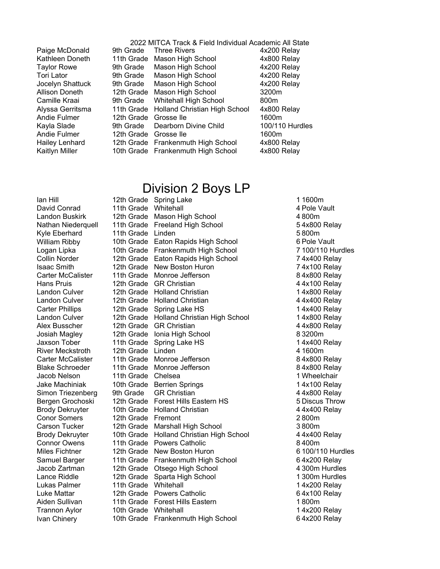Kathleen Doneth Tori Lator Jocelyn Shattuck Allison Doneth Camille Kraai Alyssa Gerritsma Kayla Slade Hailey Lenhard

2022 MITCA Track & Field Individual Academic All State Paige McDonald 9th Grade Three Rivers 19th 4x200 Relay 11th Grade Mason High School 4x800 Relay Taylor Rowe 9th Grade Mason High School 4x200 Relay 9th Grade Mason High School 4x200 Relay 9th Grade Mason High School 4x200 Relay 12th Grade Mason High School 3200m 9th Grade Whitehall High School 800m 11th Grade Holland Christian High School 4x800 Relay Andie Fulmer and 12th Grade Grosse Ile **1600m** 9th Grade Dearborn Divine Child 100/110 Hurdles Andie Fulmer and 12th Grade Grosse Ile **1600m** 12th Grade Frankenmuth High School 4x800 Relay Kaitlyn Miller 10th Grade Frankenmuth High School 4x800 Relay

#### Division 2 Boys LP

Ian Hill 12th Grade Spring Lake 1 1600m Landon Buskirk Nathan Niederquell Kyle Eberhard William Ribby Logan Lipka Collin Norder Carter McCalister Hans Pruis Alex Busscher Josiah Magley Jaxson Tober River Meckstroth Carter McCalister Jake Machiniak Simon Triezenberg Bergen Grochoski Brody Dekruyter Brody Dekruyter Miles Fichtner Samuel Barger Jacob Zartman Luke Mattar Trannon Aylor Ivan Chinery

David Conrad 11th Grade Whitehall 4 Pole Vault 12th Grade Mason High School 4800m 11th Grade Freeland High School 54x800 Relay 11th Grade Linden **5 800m** 10th Grade Eaton Rapids High School 6 Pole Vault 10th Grade Frankenmuth High School 7 100/110 Hurdles 12th Grade Eaton Rapids High School 74x400 Relay Isaac Smith 12th Grade New Boston Huron 7 4x100 Relay 11th Grade Monroe Jefferson 8 4x800 Relay 12th Grade GR Christian 12th 4 4x100 Relay Landon Culver 12th Grade Holland Christian 1 1 4x800 Relay Landon Culver 12th Grade Holland Christian 14 4x400 Relay Carter Phillips 12th Grade Spring Lake HS 14x400 Relay Landon Culver 12th Grade Holland Christian High School 14x800 Relay 12th Grade GR Christian 4 4x800 Relay 12th Grade Ionia High School 8 3200m 11th Grade Spring Lake HS 14x400 Relay 12th Grade Linden **12th Grade** 1600m 11th Grade Monroe Jefferson 8 4x800 Relay Blake Schroeder 11th Grade Monroe Jefferson and the state 8 4x800 Relay Jacob Nelson 11th Grade Chelsea 1 Wheelchair 10th Grade Berrien Springs 14x100 Relay 9th Grade GR Christian 4 4x800 Relay 12th Grade Forest Hills Eastern HS 5 Discus Throw 10th Grade Holland Christian 4 4x400 Relay Conor Somers 12th Grade Fremont 2 800m Carson Tucker 12th Grade Marshall High School 3 800m 10th Grade Holland Christian High School 44x400 Relay Connor Owens 11th Grade Powers Catholic 8 400m 12th Grade New Boston Huron **6 100/110 Hurdles** 11th Grade Frankenmuth High School 64x200 Relay 12th Grade Otsego High School 4300m Hurdles Lance Riddle 12th Grade Sparta High School 1300m Hurdles Lukas Palmer 11th Grade Whitehall 1 4x200 Relay 12th Grade Powers Catholic 64x100 Relay Aiden Sullivan 11th Grade Forest Hills Eastern 1 800m 10th Grade Whitehall 10th Grade Whitehall 10th Grade Frankenmuth High School 64x200 Relay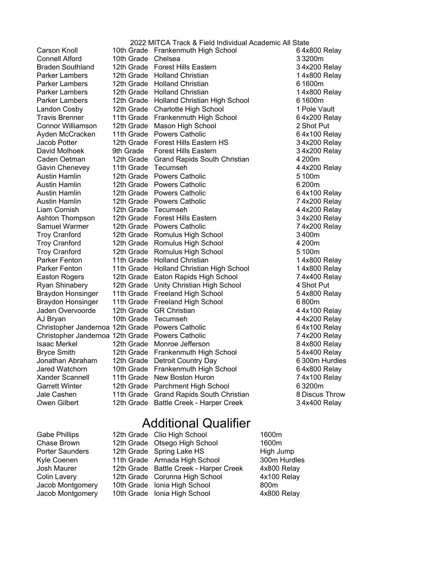Parker Lambers Parker Lambers Parker Lambers Parker Lambers David Molhoek Caden Oetman Gavin Chenevey Ryan Shinabery Braydon Honsinger Braydon Honsinger Jaden Overvoorde Xander Scannell Jale Cashen

2022 MITCA Track & Field Individual Academic All State Carson Knoll 10th Grade Frankenmuth High School 6 4x800 Relay Connell Alford 10th Grade Chelsea 3 3200m Braden Southland 12th Grade Forest Hills Eastern 34x200 Relay 12th Grade Holland Christian 12th Grade Holland Christian 12th Grade Holland Christian 6 1600m 12th Grade Holland Christian 12th Grade Holland Christian 12th Grade Holland Christian High School 6 1600m Landon Cosby 12th Grade Charlotte High School 1 Pole Vault Travis Brenner 11th Grade Frankenmuth High School 6 4x200 Relay Connor Williamson 12th Grade Mason High School 2 Shot Put Ayden McCracken 11th Grade Powers Catholic **6 4x100 Relay** Jacob Potter **12th Grade Forest Hills Eastern HS** 34x200 Relay 9th Grade Forest Hills Eastern 34x200 Relay 12th Grade Grand Rapids South Christian 4200m 11th Grade Tecumseh 44x200 Relay Austin Hamlin 12th Grade Powers Catholic 1000 m 5 100m Austin Hamlin 12th Grade Powers Catholic 6 200m Austin Hamlin 12th Grade Powers Catholic 15 100 Relay Austin Hamlin 12th Grade Powers Catholic **12th Grade 2016** 7 4x200 Relay Liam Cornish 12th Grade Tecumseh 4 4x200 Relay Ashton Thompson 12th Grade Forest Hills Eastern 34x200 Relay Samuel Warmer 12th Grade Powers Catholic 19th Catalogue 7 4x200 Relay Troy Cranford 12th Grade Romulus High School 3 400m Troy Cranford 12th Grade Romulus High School 4 200m Troy Cranford 12th Grade Romulus High School 5 100m Parker Fenton 11th Grade Holland Christian 1 1 1 4x800 Relay Parker Fenton 11th Grade Holland Christian High School 14x800 Relay Easton Rogers 12th Grade Eaton Rapids High School 74x400 Relay 12th Grade Unity Christian High School 4 Shot Put 11th Grade Freeland High School 5 4x800 Relay 11th Grade Freeland High School 6800m 12th Grade GR Christian 12th 4 4x100 Relay AJ Bryan 10th Grade Tecumseh 10th 4 4x200 Relay Christopher Jandernoa 12th Grade Powers Catholic **6 4x100 Relay** Christopher Jandernoa 12th Grade Powers Catholic **7 4x200 Relay** Isaac Merkel **12th Grade Monroe Jefferson** 84x800 Relay Bryce Smith 12th Grade Frankenmuth High School 54x400 Relay Jonathan Abraham 12th Grade Detroit Country Day 6 300m Hurdles Jared Watchorn 10th Grade Frankenmuth High School 6 4x800 Relay 11th Grade New Boston Huron 74x100 Relay Garrett Winter 12th Grade Parchment High School 6 3200m 11th Grade Grand Rapids South Christian 8Discus Throw Owen Gilbert 12th Grade Battle Creek - Harper Creek 34x400 Relay

### Additional Qualifier

|  | 1600m                                                                                                                                                                                                                                                                  |
|--|------------------------------------------------------------------------------------------------------------------------------------------------------------------------------------------------------------------------------------------------------------------------|
|  | 1600m                                                                                                                                                                                                                                                                  |
|  | High Jump                                                                                                                                                                                                                                                              |
|  | 300m Hurdles                                                                                                                                                                                                                                                           |
|  | 4x800 Relay                                                                                                                                                                                                                                                            |
|  | 4x100 Relay                                                                                                                                                                                                                                                            |
|  | 800m                                                                                                                                                                                                                                                                   |
|  | 4x800 Relay                                                                                                                                                                                                                                                            |
|  | 12th Grade Clio High School<br>12th Grade Otsego High School<br>12th Grade Spring Lake HS<br>11th Grade Armada High School<br>12th Grade Battle Creek - Harper Creek<br>12th Grade Corunna High School<br>10th Grade Ionia High School<br>10th Grade Ionia High School |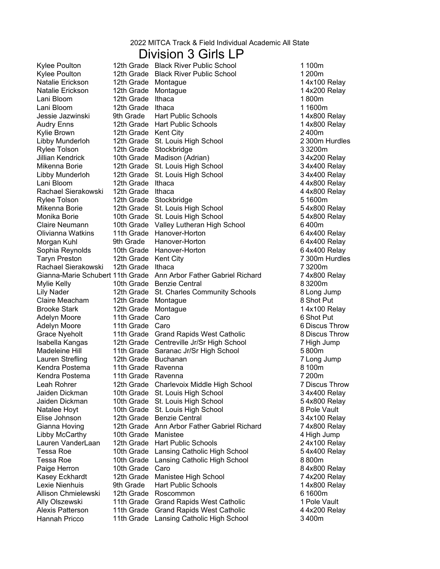#### Division 3 Girls LP

Adelyn Moore 11th Grade Caro Kylee Poulton Kylee Poulton Audry Enns Rachael Sierakowski Olivianna Watkins Morgan Kuhl Rachael Sierakowski Claire Meacham Grace Nyeholt Lauren Strefling Kendra Postema Kendra Postema Gianna Hoving Lauren VanderLaan Lexie Nienhuis Allison Chmielewski Ally Olszewski Hannah Pricco

12th Grade Black River Public School 1100m 12th Grade Black River Public School 12th Grade 8.1200m Natalie Erickson 12th Grade Montague 14x100 Relay Natalie Erickson 12th Grade Montague 14x200 Relay Lani Bloom 12th Grade Ithaca 1800m Lani Bloom 12th Grade Ithaca 11600m Jessie Jazwinski 9th Grade Hart Public Schools 14x800 Relay 12th Grade Hart Public Schools 14x800 Relay Kylie Brown 12th Grade Kent City 2400m Libby Munderloh 12th Grade St. Louis High School 2300m Hurdles Rylee Tolson **12th Grade Stockbridge 12th Grade Stockbridge** 33200m Jillian Kendrick 10th Grade Madison (Adrian)<br>Mikenna Borie 12th Grade St. Louis High School 34x400 Relay 12th Grade St. Louis High School 34x400 Relay Libby Munderloh 12th Grade St. Louis High School 34x400 Relay Lani Bloom 12th Grade Ithaca 12th Grade 12th 300 Relay 12th 31 Australian 1 Australian 1 Australian 1 Australia 12th Grade Ithaca 44x800 Relay Rylee Tolson 12th Grade Stockbridge **51600m** 51600m Mikenna Borie 12th Grade St. Louis High School 54x800 Relay Monika Borie 10th Grade St. Louis High School 54x800 Relay 10th Grade Valley Lutheran High School 6400m 11th Grade Hanover-Horton 64x400 Relay 9th Grade Hanover-Horton 64x400 Relay Sophia Reynolds 10th Grade Hanover-Horton 10th 64x400 Relay Taryn Preston 12th Grade Kent City 7300m Hurdles 12th Grade Ithaca 73200m Gianna-Marie Schubert 11th Grade Ann Arbor Father Gabriel Richard 74x800 Relay Mylie Kelly 10th Grade Benzie Central 83200m Lily Nader 12th Grade St. Charles Community Schools 8Long Jump 12th Grade Montague 8 Shot Put Brooke Stark 12th Grade Montague 15 and 14x100 Relay Adelyn Moore 11th Grade Caro 6 Shot Put 11th Grade Grand Rapids West Catholic **8** Discus Throw Isabella Kangas and 2th Grade Centreville Jr/Sr High School and Thigh Jump Madeleine Hill 11th Grade Saranac Jr/Sr High School 5800m 12th Grade Buchanan 7Long Jump 11th Grade Ravenna 8100m 11th Grade Ravenna 7200m Leah Rohrer 12th Grade Charlevoix Middle High School 7 Discus Throw Jaiden Dickman 10th Grade St. Louis High School 34x400 Relay Jaiden Dickman 10th Grade St. Louis High School 54x800 Relay Natalee Hovt 10th Grade St. Louis High School 8 Pole Vault Elise Johnson and 12th Grade Benzie Central and 34x100 Relay 12th Grade Ann Arbor Father Gabriel Richard 74x800 Relay Libby McCarthy 10th Grade Manistee 4 High Jump 12th Grade Hart Public Schools 24x100 Relay Tessa Roe **10th Grade Lansing Catholic High School** 54x400 Relay Tessa Roe **10th Grade Lansing Catholic High School** 8800m Paige Herron 10th Grade Caro 84x800 Relay Kasey Eckhardt and 12th Grade Manistee High School **18th Critics** 74x200 Relay 9th Grade Hart Public Schools 14x800 Relay 12th Grade Roscommon<br>11th Grade Grand Rapids West Catholic **1998 12:30 11 Pole Vault** 11th Grade Grand Rapids West Catholic Alexis Patterson 11th Grade Grand Rapids West Catholic 44x200 Relay 11th Grade Lansing Catholic High School 3400m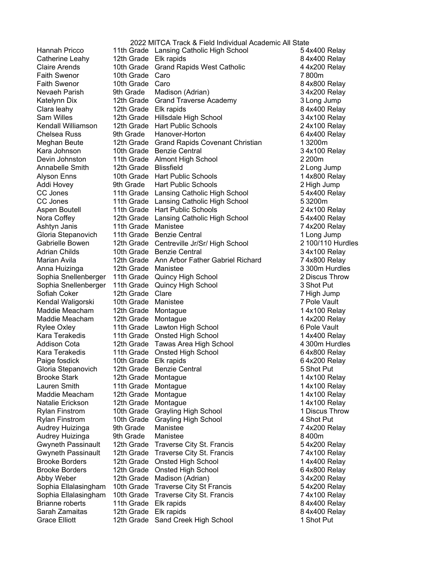Hannah Pricco Claire Arends Faith Swenor Faith Swenor Clara leahy Sam Willes Meghan Beute Addi Hovey Aspen Boutell Gloria Stepanovich Sophia Snellenberger Sophia Snellenberger Kendal Waligorski Maddie Meacham Maddie Meacham Kara Terakedis Kara Terakedis Paige fosdick Gloria Stepanovich Maddie Meacham Rylan Finstrom Rylan Finstrom Audrey Huizinga **Audrey Huizinga** Gwyneth Passinault Gwyneth Passinault Sophia Ellalasingham Sophia Ellalasingham Brianne roberts Sarah Zamaitas

2022 MITCA Track & Field Individual Academic All State 11th Grade Lansing Catholic High School 54x400 Relay Catherine Leahy 12th Grade Elk rapids 84x400 Relay 10th Grade Grand Rapids West Catholic 44x200 Relay 10th Grade Caro **7800m** 10th Grade Caro 84x800 Relay Nevaeh Parish 9th Grade Madison (Adrian) 34x200 Relay Katelynn Dix 12th Grade Grand Traverse Academy 3Long Jump 12th Grade Elk rapids 84x400 Relay 12th Grade Hillsdale High School 34x100 Relay Kendall Williamson 12th Grade Hart Public Schools **24x100 Relay** Chelsea Russ 64x400 Relay 9th Grade Hanover-Horton 64x400 Relay 12th Grade Grand Rapids Covenant Christian 13200m Kara Johnson 10th Grade Benzie Central 10th 34x100 Relay Devin Johnston 11th Grade 2200m Almont High School Annabelle Smith 12th Grade 2Long Jump Blissfield Alyson Enns 10th Grade Hart Public Schools 14x800 Relay 9th Grade Hart Public Schools 2 High Jump CC Jones 11th Grade Lansing Catholic High School 54x400 Relay CC Jones 11th Grade Lansing Catholic High School 53200m 11th Grade Hart Public Schools 24x100 Relay Nora Coffey 12th Grade Lansing Catholic High School 54x400 Relay Ashtyn Janis 11th Grade 74x200 Relay Manistee 11th Grade Benzie Central 11th Grade Benzie Central 1Long Jump Gabrielle Bowen and the Grade Centreville Jr/Sr/ High School and the 2100/110 Hurdles Adrian Childs **10th Grade Benzie Central 10th Crame** 34x100 Relay Marian Avila 12th Grade Ann Arbor Father Gabriel Richard 74x800 Relay 12th Grade 3300m Hurdles Anna Huizinga Manistee 11th Grade Quincy High School 2 Discus Throw 11th Grade Quincy High School 3 Shot Put Sofiah Coker **12th Grade Clare 7 High Jump** 7 High Jump 10th Grade Manistee **10th Crack Contract Contract Crack** 7 Pole Vault 12th Grade Montague 14x100 Relay 12th Grade Montague 14x200 Relay Rylee Oxley **11th Grade** Lawton High School **6 Pole Vault** 6 Pole Vault 11th Grade Onsted High School 14x400 Relay Addison Cota 12th Grade Tawas Area High School 4 300m Hurdles 11th Grade Onsted High School 64x800 Relay 10th Grade Elk rapids 64x200 Relay 12th Grade Benzie Central 5 Shot Put Brooke Stark 12th Grade Montague 15 and 14x100 Relay Lauren Smith 11th Grade Montague 14x100 Relay 12th Grade Montague 14x100 Relay Natalie Erickson 12th Grade Montague 14x100 Relay 10th Grade Grayling High School 1 Discus Throw 10th Grade Grayling High School 4 Shot Put 9th Grade Manistee 74x200 Relay 9th Grade Manistee 3400m 12th Grade Traverse City St. Francis 654x200 Relay 12th Grade Traverse City St. Francis 74x100 Relay Brooke Borders 12th Grade Onsted High School 14x400 Relay Brooke Borders 12th Grade Onsted High School 64x800 Relay Abby Weber 12th Grade Madison (Adrian) 34x200 Relay 10th Grade Traverse City St Francis 54x200 Relay 10th Grade Traverse City St. Francis 74x100 Relay 11th Grade Elk rapids 84x400 Relay 12th Grade Elk rapids 84x400 Relay Grace Elliott **12th Grade** Sand Creek High School 1 Shot Put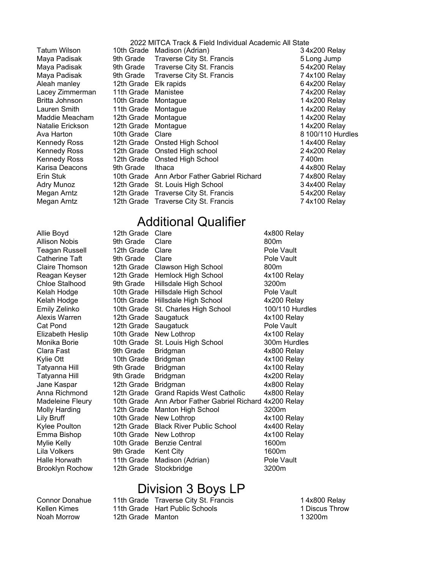Maya Padisak Maya Padisak Maya Padisak Aleah manley Britta Johnson Maddie Meacham Erin Stuk Adry Munoz Megan Arntz Megan Arntz

2022 MITCA Track & Field Individual Academic All State Tatum Wilson 10th Grade Madison (Adrian) 34x200 Relay 9th Grade Traverse City St. Francis 5Long Jump 9th Grade Traverse City St. Francis 654x200 Relay 9th Grade Traverse City St. Francis 74x100 Relay 12th Grade Elk rapids 64x200 Relay Lacey Zimmerman 11th Grade Manistee **Animate 19th Contract 19th Contract 1** Ax200 Relay 10th Grade Montague 16th and 14x200 Relay Lauren Smith 11th Grade Montague 14x200 Relay 12th Grade Montague 14x200 Relay Natalie Erickson 12th Grade Montague 14x200 Relay Ava Harton **10th Grade Clare 10th Grade Clare 10th State 8100/110 Hurdles** Kennedy Ross 12th Grade Onsted High School 14x400 Relay Kennedy Ross 12th Grade Onsted High school 24x200 Relay Kennedy Ross 12th Grade Onsted High School 7400m Karisa Deacons 9th Grade Ithaca 1986 1897 1898 1898 1899 1898 1899 1898 1899 1898 1899 1899 1899 189 10th Grade Ann Arbor Father Gabriel Richard 74x800 Relay 12th Grade St. Louis High School 34x400 Relay 12th Grade Traverse City St. Francis 654x200 Relay 12th Grade Traverse City St. Francis 74x100 Relay

## Additional Qualifier

Allison Nobis 9th Grade Clare Chloe Stalhood Kelah Hodge Kelah Hodge Emily Zelinko Tatyanna Hill Tatyanna Hill Kylee Poulton Lila Volkers Halle Horwath Brooklyn Rochow

Allie Boyd 12th Grade Clare 4x800 Relay Teagan Russell 12th Grade Clare **Pole Vault** Pole Vault Catherine Taft **9th Grade** Clare **Pole Vault** Pole Vault Claire Thomson and 2th Grade Clawson High School and 800m Reagan Keyser 12th Grade Hemlock High School 4x100 Relay 9th Grade Hillsdale High School 3200m 10th Grade Hillsdale High School Pole Vault 10th Grade Hillsdale High School 4x200 Relay 10th Grade St. Charles High School 100/110 Hurdles Alexis Warren 12th Grade Saugatuck 4x100 Relay Cat Pond 12th Grade Saugatuck **Pole Vault** Elizabeth Heslip 10th Grade New Lothrop 10th 4x100 Relay Monika Borie 10th Grade St. Louis High School 300m Hurdles Clara Fast 9th Grade Bridgman 4x800 Relay Kylie Ott 10th Grade Bridgman 10th Grade 4x100 Relay 9th Grade Bridgman 4x100 Relay 9th Grade Bridgman 4x200 Relay Jane Kaspar 12th Grade Bridgman 4x800 Relay Anna Richmond 12th Grade Grand Rapids West Catholic 4x800 Relay Madeleine Fleury 10th Grade Ann Arbor Father Gabriel Richard 4x200 Relay Molly Harding 12th Grade Manton High School 3200m Lily Bruff **New Lothrop** 10th Grade New Lothrop **New 2**4x100 Relay 12th Grade Black River Public School 4x400 Relay Emma Bishop 10th Grade New Lothrop 4x100 Relay Mylie Kelly 10th Grade Benzie Central 1600m 9th Grade Kent City 1600m 11th Grade Madison (Adrian) Pole Vault 12th Grade Stockbridge 3200m

## Division 3 Boys LP

Noah Morrow 12th Grade Manton 13200m Kellen Kimes

Connor Donahue 11th Grade Traverse City St. Francis 1995 1996 14x800 Relay 11th Grade Hart Public Schools 1 Discus Throw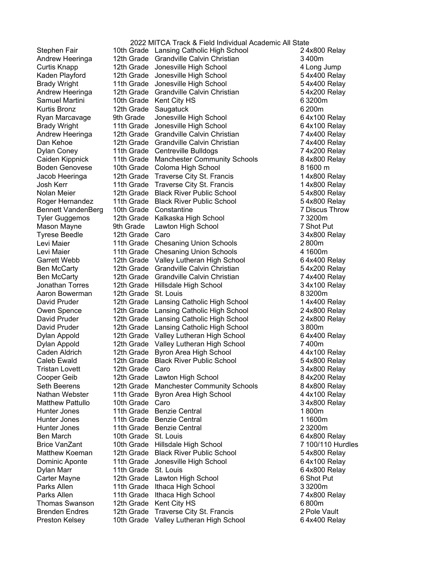Kurtis Bronz Caiden Kippnick Boden Genovese Jacob Heeringa Bennett VandenBerg Tyrese Beedle Levi Maier Levi Maier Aaron Bowerman David Pruder David Pruder David Pruder Dylan Appold Dylan Appold Cooper Geib Seth Beerens Matthew Pattullo Brice VanZant Matthew Koeman Brenden Endres

2022 MITCA Track & Field Individual Academic All State Stephen Fair 10th Grade Lansing Catholic High School 24x800 Relay Andrew Heeringa and 12th Grade Grandville Calvin Christian and the candom state of the S400m Curtis Knapp 12th Grade 4Long Jump Jonesville High School Kaden Playford and 12th Grade Jonesville High School and the State 54x400 Relay Brady Wright **11th Grade** Jonesville High School **64x400 Relay** Andrew Heeringa and 12th Grade Grandville Calvin Christian and the Summer S4x200 Relay Samuel Martini 10th Grade Kent City HS 63200m 12th Grade Saugatuck 6200m Ryan Marcavage 9th Grade Jonesville High School 6 4x100 Relay Brady Wright **11th Grade** Jonesville High School **64x100 Relay** Andrew Heeringa and 12th Grade Grandville Calvin Christian and Taxa 74x400 Relay 12th Grade 74x400 Relay Dan Kehoe Grandville Calvin Christian Dylan Coney **11th Grade** Centreville Bulldogs **14x200 Relay** 11th Grade Manchester Community Schools 84x800 Relay 10th Grade Coloma High School 81600 m 12th Grade Traverse City St. Francis 14x800 Relay Josh Kerr 11th Grade Traverse City St. Francis 14x800 Relay Nolan Meier 12th Grade Black River Public School 54x800 Relay Roger Hernandez 11th Grade Black River Public School 54x800 Relay 10th Grade Constantine 7 Discus Throw 12th Grade 73200m Tyler Guggemos Kalkaska High School Mason Mayne 9th Grade Lawton High School 7 Shot Put 12th Grade Caro 34x800 Relay 11th Grade Chesaning Union Schools 2800m 11th Grade Chesaning Union Schools 41600m Garrett Webb 12th Grade Valley Lutheran High School 64x400 Relay Ben McCarty **12th Grade Grandville Calvin Christian** 654x200 Relay Ben McCarty **12th Grade Grandville Calvin Christian** 74x400 Relay Jonathan Torres 12th Grade Hillsdale High School 34x100 Relay 12th Grade St. Louis 83200m 12th Grade Lansing Catholic High School 14x400 Relay Owen Spence 12th Grade Lansing Catholic High School 24x800 Relay 12th Grade Lansing Catholic High School 24x800 Relay 12th Grade Lansing Catholic High School 3800m 12th Grade Valley Lutheran High School 64x400 Relay 12th Grade Valley Lutheran High School 7400m Caden Aldrich 12th Grade Byron Area High School 44x100 Relay Caleb Ewald 12th Grade Black River Public School 54x800 Relay Tristan Lovett 12th Grade Caro 34x800 Relay 12th Grade Lawton High School 84x200 Relay 12th Grade Manchester Community Schools 84x800 Relay Nathan Webster 11th Grade Byron Area High School 44x100 Relay 10th Grade Caro 34x800 Relay Hunter Jones 11th Grade Benzie Central 1800m Hunter Jones 11th Grade Benzie Central 11th 11600m Hunter Jones 11th Grade Benzie Central 23200m Ben March 10th Grade St. Louis 64x800 Relay 10th Grade Hillsdale High School 7100/110 Hurdles 12th Grade Black River Public School 54x800 Relay Dominic Aponte 11th Grade Jonesville High School **64x100** Relay Dylan Marr **11th Grade St. Louis 64x800 Relay** Carter Mayne 12th Grade Lawton High School 6 Shot Put Parks Allen 11th Grade Ithaca High School 33200m Parks Allen 11th Grade Ithaca High School 74x800 Relay Thomas Swanson 12th Grade Kent City HS 6800m 12th Grade Traverse City St. Francis 2 Pole Vault Preston Kelsey 10th Grade Valley Lutheran High School 64x400 Relay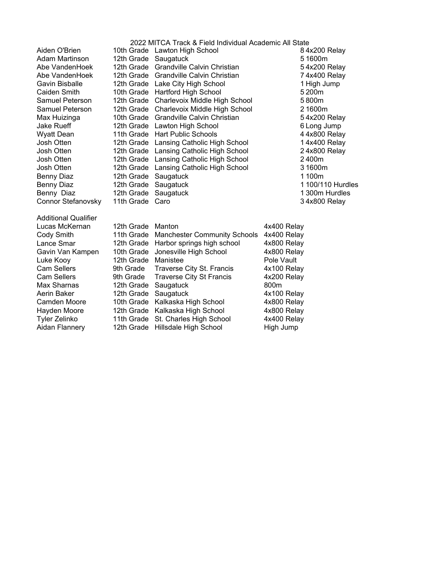|                             |                      | 2022 MITCA Track & Field Individual Academic All State |             |                   |
|-----------------------------|----------------------|--------------------------------------------------------|-------------|-------------------|
| Aiden O'Brien               |                      | 10th Grade Lawton High School                          |             | 84x200 Relay      |
| Adam Martinson              | 12th Grade Saugatuck |                                                        |             | 51600m            |
| Abe VandenHoek              | 12th Grade           | Grandville Calvin Christian                            |             | 54x200 Relay      |
| Abe VandenHoek              | 12th Grade           | Grandville Calvin Christian                            |             | 74x400 Relay      |
| Gavin Bisballe              | 12th Grade           | Lake City High School                                  |             | 1 High Jump       |
| Caiden Smith                | 10th Grade           | Hartford High School                                   |             | 5200m             |
| Samuel Peterson             | 12th Grade           | Charlevoix Middle High School                          |             | 5800m             |
| Samuel Peterson             | 12th Grade           | Charlevoix Middle High School                          |             | 21600m            |
| Max Huizinga                | 10th Grade           | Grandville Calvin Christian                            |             | 54x200 Relay      |
| Jake Rueff                  | 12th Grade           | Lawton High School                                     |             | 6 Long Jump       |
| <b>Wyatt Dean</b>           | 11th Grade           | <b>Hart Public Schools</b>                             |             | 44x800 Relay      |
| Josh Otten                  | 12th Grade           | Lansing Catholic High School                           |             | 14x400 Relay      |
| Josh Otten                  | 12th Grade           | Lansing Catholic High School                           |             | 24x800 Relay      |
| Josh Otten                  | 12th Grade           | Lansing Catholic High School                           |             | 2400m             |
| Josh Otten                  | 12th Grade           | Lansing Catholic High School                           |             | 31600m            |
| <b>Benny Diaz</b>           | 12th Grade           | Saugatuck                                              |             | 1100m             |
| <b>Benny Diaz</b>           | 12th Grade           | Saugatuck                                              |             | 1 100/110 Hurdles |
| Benny Diaz                  | 12th Grade           | Saugatuck                                              |             | 1300m Hurdles     |
| Connor Stefanovsky          | 11th Grade           | Caro                                                   |             | 34x800 Relay      |
|                             |                      |                                                        |             |                   |
| <b>Additional Qualifier</b> |                      |                                                        |             |                   |
| Lucas McKernan              | 12th Grade           | Manton                                                 | 4x400 Relay |                   |
| Cody Smith                  | 11th Grade           | <b>Manchester Community Schools</b>                    | 4x400 Relay |                   |
| Lance Smar                  | 12th Grade           | Harbor springs high school                             | 4x800 Relay |                   |
| Gavin Van Kampen            | 10th Grade           | Jonesville High School                                 | 4x800 Relay |                   |
| Luke Kooy                   | 12th Grade           | Manistee                                               | Pole Vault  |                   |
| <b>Cam Sellers</b>          | 9th Grade            | Traverse City St. Francis                              | 4x100 Relay |                   |
| <b>Cam Sellers</b>          | 9th Grade            | <b>Traverse City St Francis</b>                        | 4x200 Relay |                   |
| Max Sharnas                 | 12th Grade           | Saugatuck                                              | 800m        |                   |
| Aerin Baker                 | 12th Grade           | Saugatuck                                              | 4x100 Relay |                   |
| Camden Moore                | 10th Grade           | Kalkaska High School                                   | 4x800 Relay |                   |
| Hayden Moore                | 12th Grade           | Kalkaska High School                                   | 4x800 Relay |                   |
| Tyler Zelinko               | 11th Grade           | St. Charles High School                                | 4x400 Relay |                   |
| Aidan Flannery              | 12th Grade           | Hillsdale High School                                  | High Jump   |                   |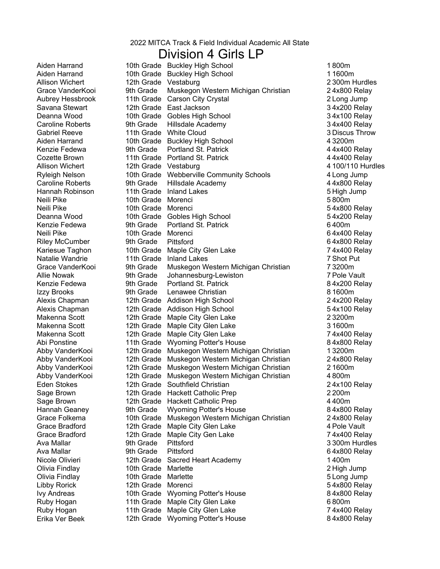#### Division 4 Girls LP

Aiden Harrand Aiden Harrand Allison Wichert Grace VanderKooi Aubrey Hessbrook Aiden Harrand Kenzie Fedewa Cozette Brown Allison Wichert Kenzie Fedewa Kariesue Taghon Natalie Wandrie Grace VanderKooi Allie Nowak Kenzie Fedewa Abi Ponstine Abby VanderKooi Abby VanderKooi Abby VanderKooi Abby VanderKooi Hannah Geaney Grace Folkema Ava Mallar **Pitter State** 9th Grade Erika Ver Beek

10th Grade Buckley High School 1800m 10th Grade Buckley High School 11600m 12th Grade Vestaburg 2300m Hurdles 9th Grade Muskegon Western Michigan Christian 24x800 Relay 11th Grade Carson City Crystal 2Long Jump Savana Stewart 12th Grade East Jackson 34x200 Relay Deanna Wood 10th Grade 34x100 Relay Gobles High School Caroline Roberts 9th Grade Hillsdale Academy 34x400 Relay Gabriel Reeve **11th Grade** White Cloud **3 Discus Throw** 3 Discus Throw 10th Grade Buckley High School 43200m 9th Grade Portland St. Patrick 44x400 Relay 11th Grade Portland St. Patrick 44x400 Relay 12th Grade Vestaburg **4100/110 Hurdles** Ryleigh Nelson **10th Grade Webberville Community Schools** 4 Long Jump Caroline Roberts **9th Grade** Hillsdale Academy **19th Caroline Roberts** 44x800 Relay Hannah Robinson 11th Grade Inland Lakes 5 High Jump 10th Grade 5800m Neili Pike Morenci Neili Pike 10th Grade Morenci 5 4x800 Relay Deanna Wood 10th Grade 54x200 Relay Gobles High School 9th Grade Portland St. Patrick 6400m Neili Pike 10th Grade Morenci 6 4x400 Relay Riley McCumber 9th Grade Pittsford 6 4x800 Relay 10th Grade Maple City Glen Lake 74x400 Relay 11th Grade Inland Lakes 7 Shot Put 9th Grade Muskegon Western Michigan Christian 73200m 9th Grade Johannesburg-Lewiston 7 Pole Vault 9th Grade Portland St. Patrick 84x200 Relay Izzy Brooks 9th Grade Lenawee Christian 8 1600m Alexis Chapman 12th Grade Addison High School 24x200 Relay Alexis Chapman 12th Grade Addison High School **12th School** 54x100 Relay Makenna Scott 12th Grade Maple City Glen Lake 23200m Makenna Scott 12th Grade Maple City Glen Lake 31600m Makenna Scott 12th Grade Maple City Glen Lake 11th Grade Wyoming Potter's House 84x800 Relay 12th Grade Muskegon Western Michigan Christian 13200m 12th Grade Muskegon Western Michigan Christian 24x800 Relay 12th Grade Muskegon Western Michigan Christian 21600m 12th Grade Muskegon Western Michigan Christian 4800m Eden Stokes **12th Grade Southfield Christian** 24x100 Relay Sage Brown 12th Grade Hackett Catholic Prep 2200m Sage Brown 12th Grade Hackett Catholic Prep 4400m 9th Grade Wyoming Potter's House **84x800 Relay** 10th Grade Muskegon Western Michigan Christian 24x800 Relay Grace Bradford **12th Grade Maple City Glen Lake** 4 Pole Vault Grace Bradford **12th Grade Maple City Gen Lake** 74x400 Relay<br>Ava Mallar 3300m Hurdle 9th Grade 3300m Hurdles Ava Mallar Pittsford Pittsford 64x800 Relay Nicole Olivieri 12th Grade Sacred Heart Academy 1400m Olivia Findlay 10th Grade Marlette 2 High Jump Olivia Findlay 10th Grade 5Long Jump Marlette Libby Rorick 12th Grade Morenci 5 4x800 Relay Ivy Andreas 10th Grade Wyoming Potter's House 84x800 Relay Ruby Hogan 11th Grade Maple City Glen Lake Ruby Hogan 11th Grade Maple City Glen Lake 74x400 Relay 12th Grade Wyoming Potter's House 84x800 Relay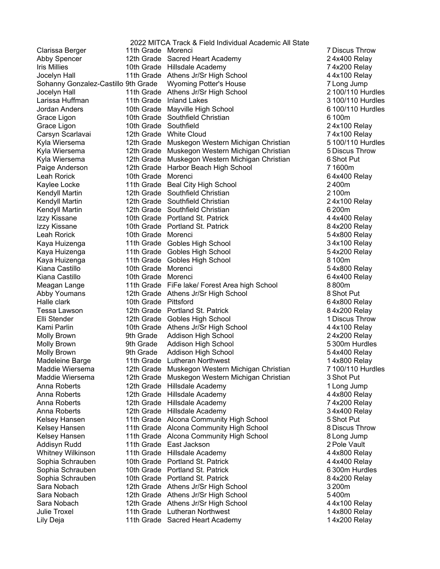|                                     |                       | 2022 MITCA Track & Field Individual Academic All State |            |
|-------------------------------------|-----------------------|--------------------------------------------------------|------------|
| Clarissa Berger                     | 11th Grade Morenci    |                                                        | 7 Discus T |
| Abby Spencer                        |                       | 12th Grade Sacred Heart Academy                        | 24x400R    |
| <b>Iris Millies</b>                 |                       | 10th Grade Hillsdale Academy                           | 74x200 R   |
| Jocelyn Hall                        |                       | 11th Grade Athens Jr/Sr High School                    | 44x100R    |
| Sohanny Gonzalez-Castillo 9th Grade |                       | <b>Wyoming Potter's House</b>                          | 7 Long Jur |
| Jocelyn Hall                        |                       | 11th Grade Athens Jr/Sr High School                    | 2 100/110  |
| Larissa Huffman                     |                       | 11th Grade Inland Lakes                                | 3 100/110  |
| Jordan Anders                       |                       | 10th Grade Mayville High School                        | 6 100/110  |
| Grace Ligon                         |                       | 10th Grade Southfield Christian                        | 6 100m     |
| Grace Ligon                         | 10th Grade Southfield |                                                        | 24x100 R   |
| Carsyn Scarlavai                    |                       | 12th Grade White Cloud                                 | 74x100 R   |
| Kyla Wiersema                       |                       | 12th Grade Muskegon Western Michigan Christian         | 5 100/110  |
| Kyla Wiersema                       |                       | 12th Grade Muskegon Western Michigan Christian         | 5 Discus T |
| Kyla Wiersema                       |                       | 12th Grade Muskegon Western Michigan Christian         | 6 Shot Put |
| Paige Anderson                      |                       | 12th Grade Harbor Beach High School                    | 71600m     |
| Leah Rorick                         | 10th Grade Morenci    |                                                        | 64x400R    |
| Kaylee Locke                        |                       | 11th Grade Beal City High School                       | 2400m      |
| Kendyll Martin                      |                       | 12th Grade Southfield Christian                        | 2100m      |
| Kendyll Martin                      |                       | 12th Grade Southfield Christian                        | 24x100 R   |
| Kendyll Martin                      |                       | 12th Grade Southfield Christian                        | 6 200m     |
| Izzy Kissane                        |                       | 10th Grade Portland St. Patrick                        | 44x400R    |
| Izzy Kissane                        |                       | 10th Grade Portland St. Patrick                        | 84x200 R   |
| Leah Rorick                         | 10th Grade Morenci    |                                                        | 54x800 R   |
| Kaya Huizenga                       |                       | 11th Grade Gobles High School                          | 34x100 R   |
| Kaya Huizenga                       |                       | 11th Grade Gobles High School                          | 54x200 R   |
| Kaya Huizenga                       |                       | 11th Grade Gobles High School                          | 8100m      |
| Kiana Castillo                      | 10th Grade Morenci    |                                                        | 54x800R    |
| Kiana Castillo                      | 10th Grade Morenci    |                                                        | 64x400 R   |
| Meagan Lange                        |                       | 11th Grade FiFe lake/ Forest Area high School          | 8800m      |
| Abby Youmans                        |                       | 12th Grade Athens Jr/Sr High School                    | 8 Shot Put |
| Halle clark                         | 10th Grade Pittsford  |                                                        | 64x800R    |
| Tessa Lawson                        |                       | 12th Grade Portland St. Patrick                        | 84x200 R   |
| Elli Stender                        |                       | 12th Grade Gobles High School                          | 1 Discus T |
| Kami Parlin                         |                       | 10th Grade Athens Jr/Sr High School                    | 44x100R    |
| Molly Brown                         | 9th Grade             | Addison High School                                    | 24x200 R   |
| Molly Brown                         | 9th Grade             | Addison High School                                    | 5 300m Hu  |
| Molly Brown                         | 9th Grade             | Addison High School                                    | 54x400R    |
| Madeleine Barge                     |                       | 11th Grade Lutheran Northwest                          | 14x800 R   |
| Maddie Wiersema                     | 12th Grade            | Muskegon Western Michigan Christian                    | 7 100/110  |
| Maddie Wiersema                     | 12th Grade            | Muskegon Western Michigan Christian                    | 3 Shot Put |
| Anna Roberts                        |                       | 12th Grade Hillsdale Academy                           | 1 Long Jur |
| Anna Roberts                        |                       | 12th Grade Hillsdale Academy                           | 44x800R    |
| Anna Roberts                        |                       | 12th Grade Hillsdale Academy                           | 74x200 R   |
| Anna Roberts                        |                       | 12th Grade Hillsdale Academy                           | 34x400R    |
| Kelsey Hansen                       |                       | 11th Grade Alcona Community High School                | 5 Shot Put |
| Kelsey Hansen                       |                       | 11th Grade Alcona Community High School                | 8 Discus T |
| Kelsey Hansen                       |                       | 11th Grade Alcona Community High School                | 8 Long Jur |
| Addisyn Rudd                        |                       | 11th Grade East Jackson                                | 2 Pole Vau |
| <b>Whitney Wilkinson</b>            |                       | 11th Grade Hillsdale Academy                           | 44x800R    |
| Sophia Schrauben                    |                       | 10th Grade Portland St. Patrick                        | 44x400R    |
| Sophia Schrauben                    |                       | 10th Grade Portland St. Patrick                        | 6 300m Hu  |
| Sophia Schrauben                    |                       | 10th Grade Portland St. Patrick                        | 84x200 R   |
| Sara Nobach                         |                       | 12th Grade Athens Jr/Sr High School                    | 3 200m     |
| Sara Nobach                         |                       | 12th Grade Athens Jr/Sr High School                    | 5400m      |
| Sara Nobach                         |                       | 12th Grade Athens Jr/Sr High School                    | 44x100 R   |
| Julie Troxel                        | 11th Grade            | <b>Lutheran Northwest</b>                              | 14x800 R   |
| Lily Deja                           |                       | 11th Grade Sacred Heart Academy                        | 14x200 R   |

7 Discus Throw 24x400 Relay 74x200 Relay  $44x100$  Relay 7 Long Jump 2 100/110 Hurdles 3 100/110 Hurdles 6 100/110 Hurdles 24x100 Relay 74x100 Relay 5 100/110 Hurdles 5 Discus Throw 6 Shot Put<br>7 1600m 64x400 Relay  $24x100$  Relay 44x400 Relay 84x200 Relay 54x800 Relay 34x100 Relay 54x200 Relay 54x800 Relay 64x400 Relay<br>8800m 8 Shot Put 64x800 Relay 84x200 Relay 1 Discus Throw  $44x100$  Relay 24x200 Relay 5300m Hurdles 54x400 Relay 14x800 Relay 7 100/110 Hurdles 3 Shot Put 1 Long Jump 4 4x800 Relay 74x200 Relay 34x400 Relay 8 Discus Throw 8 Long Jump 2 Pole Vault 4 4x800 Relay 44x400 Relay 6300m Hurdles 84x200 Relay 4 4x100 Relay 14x800 Relay 14x200 Relay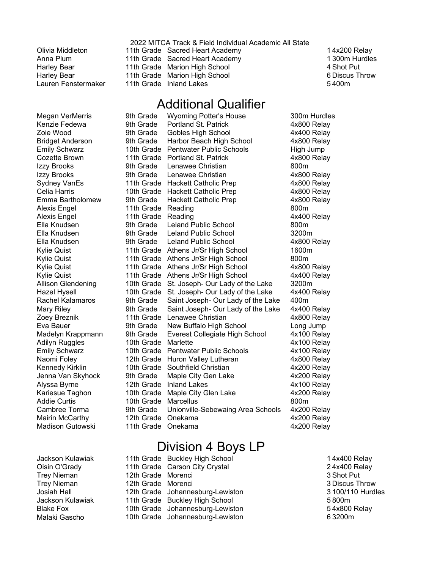|                     | 2022 MITCA Track & Field Individual Academic All State |                |
|---------------------|--------------------------------------------------------|----------------|
| Olivia Middleton    | 11th Grade Sacred Heart Academy                        | 14x200 Relay   |
| Anna Plum           | 11th Grade Sacred Heart Academy                        | 1 300m Hurdles |
| Harley Bear         | 11th Grade Marion High School                          | 4 Shot Put     |
| Harley Bear         | 11th Grade Marion High School                          | 6 Discus Throw |
| Lauren Fenstermaker | 11th Grade Inland Lakes                                | 5400m          |
|                     |                                                        |                |

## Additional Qualifier

| Megan VerMerris           | 9th Grade  | <b>Wyoming Potter's House</b>       | 300m Hurdles |
|---------------------------|------------|-------------------------------------|--------------|
| Kenzie Fedewa             | 9th Grade  | Portland St. Patrick                | 4x800 Relay  |
| Zoie Wood                 | 9th Grade  | <b>Gobles High School</b>           | 4x400 Relay  |
| <b>Bridget Anderson</b>   | 9th Grade  | Harbor Beach High School            | 4x800 Relay  |
| <b>Emily Schwarz</b>      | 10th Grade | <b>Pentwater Public Schools</b>     | High Jump    |
| Cozette Brown             | 11th Grade | Portland St. Patrick                | 4x800 Relay  |
| Izzy Brooks               | 9th Grade  | Lenawee Christian                   | 800m         |
| Izzy Brooks               | 9th Grade  | Lenawee Christian                   | 4x800 Relay  |
| <b>Sydney VanEs</b>       |            | 11th Grade Hackett Catholic Prep    | 4x800 Relay  |
| Celia Harris              | 10th Grade | <b>Hackett Catholic Prep</b>        | 4x800 Relay  |
| Emma Bartholomew          | 9th Grade  | Hackett Catholic Prep               | 4x800 Relay  |
| Alexis Engel              | 11th Grade | Reading                             | 800m         |
| <b>Alexis Engel</b>       | 11th Grade | Reading                             | 4x400 Relay  |
| Ella Knudsen              | 9th Grade  | <b>Leland Public School</b>         | 800m         |
| Ella Knudsen              | 9th Grade  | <b>Leland Public School</b>         | 3200m        |
| Ella Knudsen              | 9th Grade  | Leland Public School                | 4x800 Relay  |
| <b>Kylie Quist</b>        |            | 11th Grade Athens Jr/Sr High School | 1600m        |
| <b>Kylie Quist</b>        | 11th Grade | Athens Jr/Sr High School            | 800m         |
| <b>Kylie Quist</b>        | 11th Grade | Athens Jr/Sr High School            | 4x800 Relay  |
| <b>Kylie Quist</b>        | 11th Grade | Athens Jr/Sr High School            | 4x400 Relay  |
| <b>Allison Glendening</b> | 10th Grade | St. Joseph- Our Lady of the Lake    | 3200m        |
| <b>Hazel Hysell</b>       | 10th Grade | St. Joseph- Our Lady of the Lake    | 4x400 Relay  |
| Rachel Kalamaros          | 9th Grade  | Saint Joseph- Our Lady of the Lake  | 400m         |
| <b>Mary Riley</b>         | 9th Grade  | Saint Joseph- Our Lady of the Lake  | 4x400 Relay  |
| Zoey Breznik              | 11th Grade | Lenawee Christian                   | 4x800 Relay  |
| Eva Bauer                 | 9th Grade  | New Buffalo High School             | Long Jump    |
| Madelyn Krappmann         | 9th Grade  | Everest Collegiate High School      | 4x100 Relay  |
| <b>Adilyn Ruggles</b>     | 10th Grade | Marlette                            | 4x100 Relay  |
| <b>Emily Schwarz</b>      | 10th Grade | <b>Pentwater Public Schools</b>     | 4x100 Relay  |
| Naomi Foley               | 12th Grade | Huron Valley Lutheran               | 4x800 Relay  |
| Kennedy Kirklin           | 10th Grade | Southfield Christian                | 4x200 Relay  |
| Jenna Van Skyhock         | 9th Grade  | Maple City Gen Lake                 | 4x200 Relay  |
| Alyssa Byrne              | 12th Grade | <b>Inland Lakes</b>                 | 4x100 Relay  |
| Kariesue Taghon           | 10th Grade | Maple City Glen Lake                | 4x200 Relay  |
| <b>Addie Curtis</b>       | 10th Grade | <b>Marcellus</b>                    | 800m         |
| Cambree Torma             | 9th Grade  | Unionville-Sebewaing Area Schools   | 4x200 Relay  |
| Mairin McCarthy           | 12th Grade | Onekama                             | 4x200 Relay  |
| <b>Madison Gutowski</b>   | 11th Grade | Onekama                             | 4x200 Relay  |

Division 4 Boys LP

|                    | 14x400 Relay                                                                                                                                                                                                   |
|--------------------|----------------------------------------------------------------------------------------------------------------------------------------------------------------------------------------------------------------|
|                    | 24x400 Relay                                                                                                                                                                                                   |
| 12th Grade Morenci | 3 Shot Put                                                                                                                                                                                                     |
| 12th Grade Morenci | 3 Discus Throw                                                                                                                                                                                                 |
|                    | 3 100/110 Hurdles                                                                                                                                                                                              |
|                    | 5800m                                                                                                                                                                                                          |
|                    | 54x800 Relay                                                                                                                                                                                                   |
|                    | 63200m                                                                                                                                                                                                         |
|                    | 11th Grade Buckley High School<br>11th Grade Carson City Crystal<br>12th Grade Johannesburg-Lewiston<br>11th Grade Buckley High School<br>10th Grade Johannesburg-Lewiston<br>10th Grade Johannesburg-Lewiston |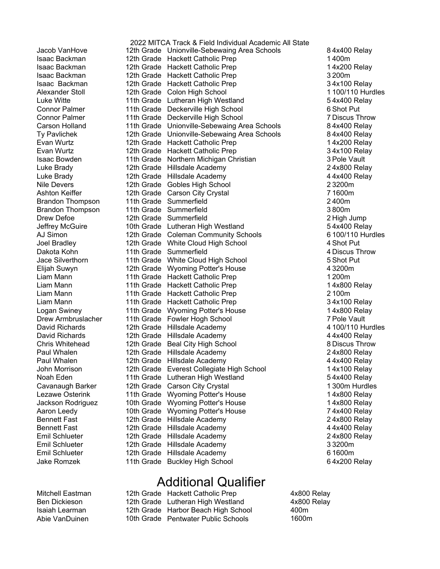Isaac Backman Isaac Backman Isaac Backman Isaac Backman Alexander Stoll Luke Witte Evan Wurtz Evan Wurtz Ashton Keiffer Jace Silverthorn Elijah Suwyn Logan Swiney Cavanaugh Barker Lezawe Osterink Aaron Leedy Emil Schlueter Emil Schlueter Emil Schlueter Jake Romzek

2022 MITCA Track & Field Individual Academic All State Jacob VanHove 12th Grade Unionville-Sebewaing Area Schools 8 4x400 Relay 12th Grade Hackett Catholic Prep 1400m 12th Grade Hackett Catholic Prep 14x200 Relay 12th Grade Hackett Catholic Prep 3200m 12th Grade Hackett Catholic Prep 34x100 Relay 12th Grade Colon High School 1100/110 Hurdles 11th Grade Lutheran High Westland 54x400 Relay Connor Palmer 11th Grade Deckerville High School 6 Shot Put Connor Palmer 11th Grade Deckerville High School 7 Discus Throw Carson Holland **11th Grade** Unionville-Sebewaing Area Schools 64x400 Relay Ty Pavlichek 12th Grade Unionville-Sebewaing Area Schools 8 4x400 Relay 12th Grade Hackett Catholic Prep 14x200 Relay 12th Grade Hackett Catholic Prep 34x100 Relay Isaac Bowden 11th Grade Northern Michigan Christian 3 Pole Vault Luke Brady 12th Grade Hillsdale Academy 24x800 Relay Luke Brady 12th Grade Hillsdale Academy 44x400 Relay Nile Devers **12th Grade Gobles High School Grade 23200m** 12th Grade Carson City Crystal 71600m Brandon Thompson 11th Grade Summerfield 2400m Brandon Thompson 11th Grade Summerfield 3800m Drew Defoe 12th Grade Summerfield 2 High Jump Jeffrey McGuire **10th Grade** Lutheran High Westland **54x400 Relay** AJ Simon 12th Grade Coleman Community Schools 6100/110 Hurdles Joel Bradley 12th Grade White Cloud High School 4 Shot Put Dakota Kohn **11th Grade Summerfield 11th Grade Summerfield** 4 Discus Throw 11th Grade White Cloud High School 5 Shot Put 12th Grade Wyoming Potter's House 43200m Liam Mann 11th Grade Hackett Catholic Prep 1200m Liam Mann 11th Grade Hackett Catholic Prep 14x800 Relay Liam Mann 11th Grade Hackett Catholic Prep 2100m Liam Mann 11th Grade Hackett Catholic Prep 34x100 Relay 11th Grade Wyoming Potter's House 14x800 Relay Drew Armbruslacher and the Grade Fowler Hogh School Trew Trustee 17 Pole Vault David Richards 12th Grade Hillsdale Academy 4100/110 Hurdles David Richards 12th Grade Hillsdale Academy 44x400 Relay Chris Whitehead 12th Grade Beal City High School 8 Discus Throw Paul Whalen 12th Grade Hillsdale Academy 12th 24x800 Relay Paul Whalen 12th Grade Hillsdale Academy 14 Ax400 Relay John Morrison **12th Grade Everest Collegiate High School** 14x100 Relay Noah Eden 11th Grade Lutheran High Westland 54x400 Relay 12th Grade Carson City Crystal 1300m Hurdles 11th Grade Wyoming Potter's House 14x800 Relay Jackson Rodriguez 10th Grade Wyoming Potter's House 1997 14x800 Relay 10th Grade Wyoming Potter's House 74x400 Relay Bennett Fast **12th Grade Hillsdale Academy** 124x800 Relay Bennett Fast **12th Grade Hillsdale Academy** 14 Ax400 Relay 12th Grade Hillsdale Academy 24x800 Relay 12th Grade Hillsdale Academy 33200m 12th Grade Hillsdale Academy 61600m 11th Grade Buckley High School 64x200 Relay

## Additional Qualifier

| Mitchell Eastman | 12th Grade Hackett Catholic Prep    | 4x800 |
|------------------|-------------------------------------|-------|
| Ben Dickieson    | 12th Grade Lutheran High Westland   | 4x800 |
| Isaiah Learman   | 12th Grade Harbor Beach High School | 400m  |
| Abie VanDuinen.  | 10th Grade Pentwater Public Schools | 1600m |

4x800 Relay 4x800 Relay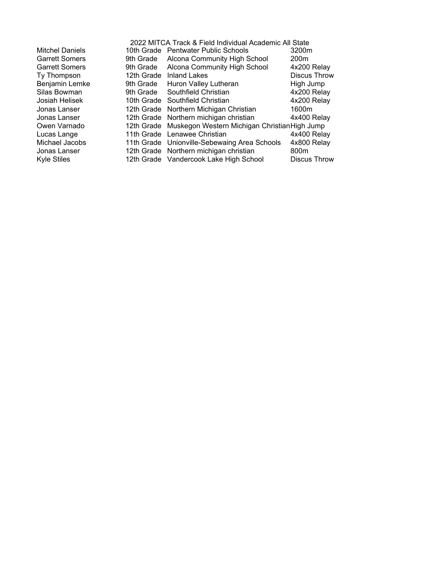|                        |           | 2022 MITCA Track & Field Individual Academic All State   |                     |
|------------------------|-----------|----------------------------------------------------------|---------------------|
| <b>Mitchel Daniels</b> |           | 10th Grade Pentwater Public Schools                      | 3200m               |
| <b>Garrett Somers</b>  | 9th Grade | Alcona Community High School                             | 200 <sub>m</sub>    |
| <b>Garrett Somers</b>  | 9th Grade | Alcona Community High School                             | 4x200 Relay         |
| Ty Thompson            |           | 12th Grade Inland Lakes                                  | <b>Discus Throw</b> |
| Benjamin Lemke         | 9th Grade | Huron Valley Lutheran                                    | High Jump           |
| Silas Bowman           | 9th Grade | Southfield Christian                                     | 4x200 Relay         |
| Josiah Helisek         |           | 10th Grade Southfield Christian                          | 4x200 Relay         |
| Jonas Lanser           |           | 12th Grade Northern Michigan Christian                   | 1600m               |
| Jonas Lanser           |           | 12th Grade Northern michigan christian                   | 4x400 Relay         |
| Owen Varnado           |           | 12th Grade Muskegon Western Michigan Christian High Jump |                     |
| Lucas Lange            |           | 11th Grade Lenawee Christian                             | 4x400 Relay         |
| Michael Jacobs         |           | 11th Grade Unionville-Sebewaing Area Schools             | 4x800 Relay         |
| Jonas Lanser           |           | 12th Grade Northern michigan christian                   | 800m                |
| <b>Kyle Stiles</b>     |           | 12th Grade Vandercook Lake High School                   | Discus Throw        |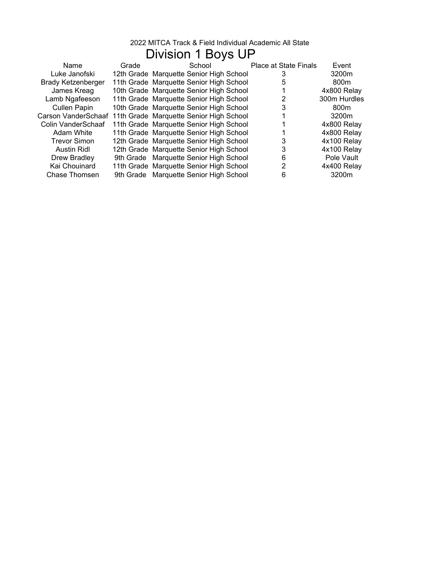# Division 1 Boys UP

| Name                | Grade | School                                  | <b>Place at State Finals</b> | Event            |
|---------------------|-------|-----------------------------------------|------------------------------|------------------|
| Luke Janofski       |       | 12th Grade Marquette Senior High School |                              | 3200m            |
| Brady Ketzenberger  |       | 11th Grade Marquette Senior High School |                              | 800 <sub>m</sub> |
| James Kreag         |       | 10th Grade Marquette Senior High School |                              | 4x800 Relay      |
| Lamb Ngafeeson      |       | 11th Grade Marquette Senior High School |                              | 300m Hurdles     |
| Cullen Papin        |       | 10th Grade Marquette Senior High School |                              | 800 <sub>m</sub> |
| Carson VanderSchaaf |       | 11th Grade Marquette Senior High School |                              | 3200m            |
| Colin VanderSchaaf  |       | 11th Grade Marquette Senior High School |                              | 4x800 Relay      |
| Adam White          |       | 11th Grade Marquette Senior High School |                              | 4x800 Relay      |
| <b>Trevor Simon</b> |       | 12th Grade Marquette Senior High School | 3                            | 4x100 Relay      |
| Austin Ridl         |       | 12th Grade Marquette Senior High School | 3                            | 4x100 Relay      |
| Drew Bradley        |       | 9th Grade Marquette Senior High School  | 6                            | Pole Vault       |
| Kai Chouinard       |       | 11th Grade Marquette Senior High School | 2                            | 4x400 Relay      |
| Chase Thomsen       |       | 9th Grade Marquette Senior High School  | 6                            | 3200m            |